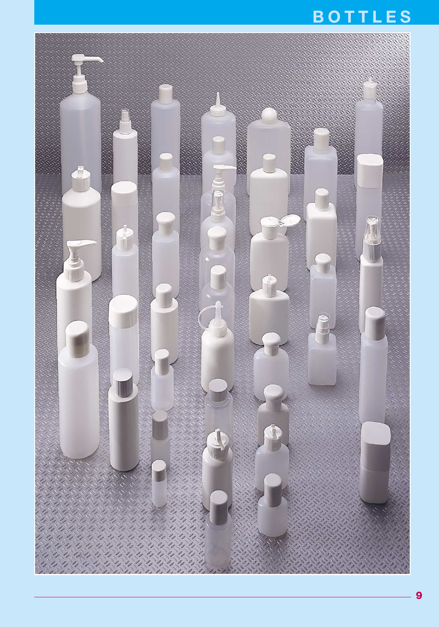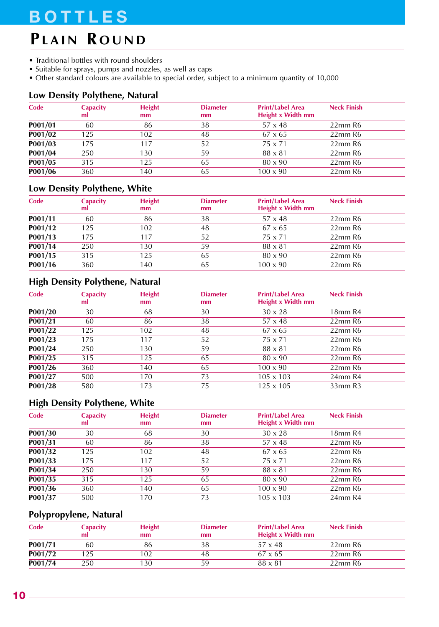## **PLAIN R OUND**

- Traditional bottles with round shoulders
- Suitable for sprays, pumps and nozzles, as well as caps
- Other standard colours are available to special order, subject to a minimum quantity of 10,000

#### **Low Density Polythene, Natural**

| Code    | <b>Capacity</b><br>ml | <b>Height</b><br>mm | <b>Diameter</b><br>mm | <b>Print/Label Area</b><br>Height x Width mm | <b>Neck Finish</b> |  |
|---------|-----------------------|---------------------|-----------------------|----------------------------------------------|--------------------|--|
| P001/01 | 60                    | 86                  | 38                    | $57 \times 48$                               | $22$ mm R6         |  |
| P001/02 | 125                   | 102                 | 48                    | $67 \times 65$                               | $22$ mm $R6$       |  |
| P001/03 | 175                   | 117                 | 52                    | 75 x 71                                      | $22$ mm R6         |  |
| P001/04 | 250                   | 130                 | 59                    | $88 \times 81$                               | $22$ mm R6         |  |
| P001/05 | 315                   | 125                 | 65                    | $80 \times 90$                               | $22$ mm $R6$       |  |
| P001/06 | 360                   | 140                 | 65                    | $100 \times 90$                              | $22$ mm R6         |  |

### **Low Density Polythene, White**

| Code    | <b>Capacity</b><br>ml | <b>Height</b><br>mm | <b>Diameter</b><br>mm | <b>Print/Label Area</b><br><b>Height x Width mm</b> | <b>Neck Finish</b> |
|---------|-----------------------|---------------------|-----------------------|-----------------------------------------------------|--------------------|
| P001/11 | 60                    | 86                  | 38                    | $57 \times 48$                                      | $22$ mm R6         |
| P001/12 | 125                   | 102                 | 48                    | $67 \times 65$                                      | $22$ mm R6         |
| P001/13 | 175                   | 117                 | 52                    | 75 x 71                                             | $22$ mm R6         |
| P001/14 | 250                   | 130                 | 59                    | $88 \times 81$                                      | $22$ mm R6         |
| P001/15 | 315                   | 125                 | 65                    | 80 x 90                                             | $22$ mm R6         |
| P001/16 | 360                   | 140                 | 65                    | $100 \times 90$                                     | $22$ mm R6         |

### **High Density Polythene, Natural**

| Code    | <b>Capacity</b><br>ml | <b>Height</b><br>mm | <b>Diameter</b><br>mm | <b>Print/Label Area</b><br>Height x Width mm | <b>Neck Finish</b> |
|---------|-----------------------|---------------------|-----------------------|----------------------------------------------|--------------------|
| P001/20 | 30                    | 68                  | 30                    | $30 \times 28$                               | 18mm R4            |
| P001/21 | 60                    | 86                  | 38                    | $57 \times 48$                               | $22$ mm $R6$       |
| P001/22 | 125                   | 102                 | 48                    | $67 \times 65$                               | $22$ mm $R6$       |
| P001/23 | 175                   | 117                 | 52                    | 75 x 71                                      | $22$ mm R6         |
| P001/24 | 250                   | 130                 | 59                    | $88 \times 81$                               | $22$ mm $R6$       |
| P001/25 | 315                   | 125                 | 65                    | $80 \times 90$                               | $22$ mm $R6$       |
| P001/26 | 360                   | 140                 | 65                    | $100 \times 90$                              | $22$ mm $R6$       |
| P001/27 | 500                   | 170                 | 73                    | $105 \times 103$                             | 24mm R4            |
| P001/28 | 580                   | 173                 | 75                    | $125 \times 105$                             | 33mm R3            |

### **High Density Polythene, White**

| Code    | <b>Capacity</b><br>ml | <b>Height</b><br>mm | <b>Diameter</b><br>mm | <b>Print/Label Area</b><br>Height x Width mm | <b>Neck Finish</b>  |
|---------|-----------------------|---------------------|-----------------------|----------------------------------------------|---------------------|
| P001/30 | 30                    | 68                  | 30                    | $30 \times 28$                               | 18 <sub>mm</sub> R4 |
| P001/31 | 60                    | 86                  | 38                    | $57 \times 48$                               | $22$ mm $R6$        |
| P001/32 | 125                   | 102                 | 48                    | $67 \times 65$                               | $22$ mm $R6$        |
| P001/33 | 175                   | 117                 | 52                    | 75 x 71                                      | $22$ mm $R6$        |
| P001/34 | 250                   | 130                 | 59                    | $88 \times 81$                               | $22$ mm $R6$        |
| P001/35 | 315                   | 125                 | 65                    | $80 \times 90$                               | $22$ mm $R6$        |
| P001/36 | 360                   | 140                 | 65                    | $100 \times 90$                              | $22$ mm $R6$        |
| P001/37 | 500                   | 170                 | 73                    | $105 \times 103$                             | 24mm R4             |
|         |                       |                     |                       |                                              |                     |

### **Polypropylene, Natural**

| Code    | Capacity<br>ml | <b>Height</b><br>mm | <b>Diameter</b><br>mm | <b>Print/Label Area</b><br>Height x Width mm | <b>Neck Finish</b> |  |
|---------|----------------|---------------------|-----------------------|----------------------------------------------|--------------------|--|
| P001/71 | 60             | 86                  | 38                    | $57 \times 48$                               | $22$ mm R6         |  |
| P001/72 | 25             | 02                  | 48                    | $67 \times 65$                               | $22$ mm R6         |  |
| P001/74 | 250            | 30                  | 59                    | $88 \times 81$                               | $22$ mm R6         |  |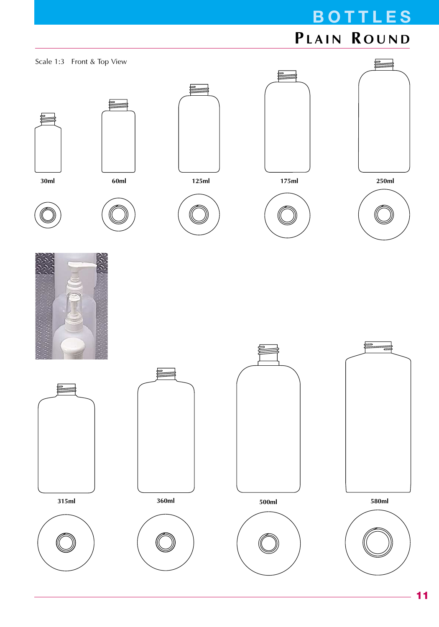# **BOTTLES PLAIN R OUND**























**315ml**











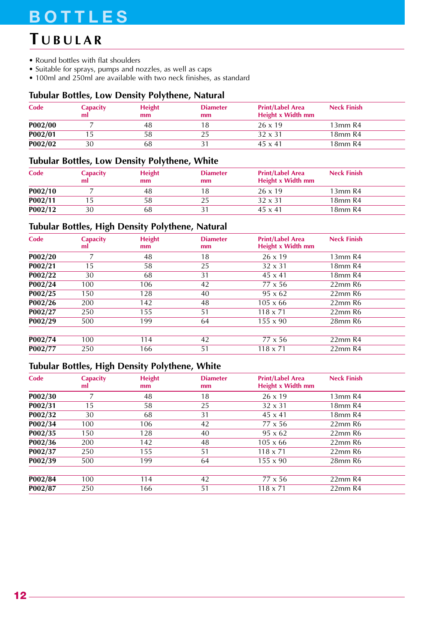## **T UBULAR**

- Round bottles with flat shoulders
- Suitable for sprays, pumps and nozzles, as well as caps
- 100ml and 250ml are available with two neck finishes, as standard

#### **Tubular Bottles, Low Density Polythene, Natural**

| Code    | <b>Capacity</b><br>ml | <b>Height</b><br>mm | <b>Diameter</b><br>mm | <b>Print/Label Area</b><br>Height x Width mm | <b>Neck Finish</b>              |
|---------|-----------------------|---------------------|-----------------------|----------------------------------------------|---------------------------------|
| P002/00 |                       | 48                  |                       | $26 \times 19$                               | 13mm R4                         |
| P002/01 |                       | 58                  |                       | $32 \times 31$                               | 18 <sub>mm</sub> R <sub>4</sub> |
| P002/02 | 30                    | 68                  |                       | $45 \times 41$                               | 18 <sub>mm</sub> R4             |

#### **Tubular Bottles, Low Density Polythene, White**

| Code    | <b>Capacity</b><br>ml | <b>Height</b><br>mm | <b>Diameter</b><br>mm | <b>Print/Label Area</b><br>Height x Width mm | <b>Neck Finish</b>              |  |
|---------|-----------------------|---------------------|-----------------------|----------------------------------------------|---------------------------------|--|
| P002/10 |                       | 48                  |                       | $26 \times 19$                               | 13mmR4                          |  |
| P002/11 |                       | 58                  |                       | $32 \times 31$                               | 18 <sub>mm</sub> R <sub>4</sub> |  |
| P002/12 | 30                    | 68                  |                       | $45 \times 41$                               | 18 <sub>mm</sub> R <sub>4</sub> |  |

### **Tubular Bottles, High Density Polythene, Natural**

| Code    | <b>Capacity</b><br>ml | <b>Height</b><br>mm | <b>Diameter</b><br>mm | <b>Print/Label Area</b><br>Height x Width mm | <b>Neck Finish</b>              |
|---------|-----------------------|---------------------|-----------------------|----------------------------------------------|---------------------------------|
| P002/20 | 7                     | 48                  | 18                    | $26 \times 19$                               | 13mm R4                         |
| P002/21 | 15                    | 58                  | 25                    | $32 \times 31$                               | 18 <sub>mm</sub> R <sub>4</sub> |
| P002/22 | 30                    | 68                  | 31                    | $45 \times 41$                               | 18 <sub>mm</sub> R <sub>4</sub> |
| P002/24 | 100                   | 106                 | 42                    | $77 \times 56$                               | $22$ mm $R6$                    |
| P002/25 | 150                   | 128                 | 40                    | $95 \times 62$                               | $22$ mm $R6$                    |
| P002/26 | 200                   | 142                 | 48                    | $105 \times 66$                              | $22$ mm $R6$                    |
| P002/27 | 250                   | 155                 | 51                    | $118 \times 71$                              | $22$ mm $R6$                    |
| P002/29 | 500                   | 199                 | 64                    | $155 \times 90$                              | 28mm R6                         |
|         |                       |                     |                       |                                              |                                 |
| P002/74 | 100                   | 114                 | 42                    | $77 \times 56$                               | 22mm R4                         |
| P002/77 | 250                   | 166                 | 51                    | $118 \times 71$                              | 22mm R4                         |

### **Tubular Bottles, High Density Polythene, White**

| Code                 | <b>Capacity</b><br>ml | <b>Height</b><br>mm | <b>Diameter</b><br>mm | <b>Print/Label Area</b><br>Height x Width mm | <b>Neck Finish</b>              |
|----------------------|-----------------------|---------------------|-----------------------|----------------------------------------------|---------------------------------|
| P002/30              | 7                     | 48                  | 18                    | $26 \times 19$                               | 13mm R4                         |
| P002/31              | 15                    | 58                  | 25                    | $32 \times 31$                               | 18mm R4                         |
| P002/32              | 30                    | 68                  | 31                    | $45 \times 41$                               | 18 <sub>mm</sub> R <sub>4</sub> |
| P002/34              | 100                   | 106                 | 42                    | $77 \times 56$                               | $22mm$ R <sub>6</sub>           |
| $\overline{P002}/35$ | 150                   | 128                 | 40                    | $95 \times 62$                               | $22$ mm $R6$                    |
| P002/36              | 200                   | 142                 | 48                    | $105 \times 66$                              | $22$ mm $R6$                    |
| P002/37              | 250                   | 155                 | 51                    | $118 \times 71$                              | $22$ mm $R6$                    |
| P002/39              | 500                   | 199                 | 64                    | $155 \times 90$                              | 28mm R6                         |
|                      |                       |                     |                       |                                              |                                 |
| P002/84              | 100                   | 114                 | 42                    | $77 \times 56$                               | 22mm R4                         |
| P002/87              | 250                   | 166                 | 51                    | $118 \times 71$                              | 22mm R4                         |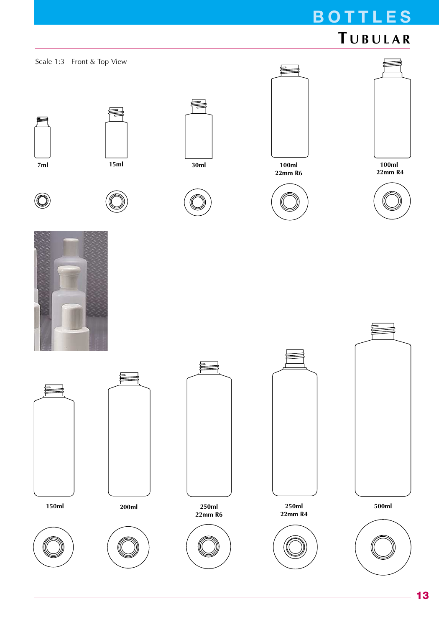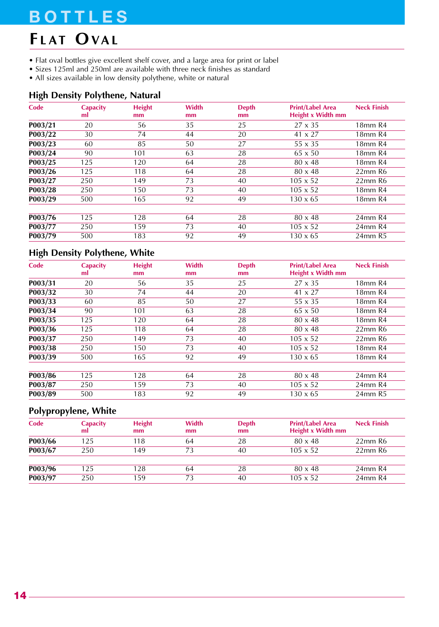# **F LAT OVAL**

- Flat oval bottles give excellent shelf cover, and a large area for print or label
- Sizes 125ml and 250ml are available with three neck finishes as standard
- All sizes available in low density polythene, white or natural

### **High Density Polythene, Natural**

| Code    | <b>Capacity</b><br>ml | <b>Height</b><br>mm | Width<br>mm | <b>Depth</b><br>mm | <b>Print/Label Area</b><br><b>Height x Width mm</b> | <b>Neck Finish</b>              |
|---------|-----------------------|---------------------|-------------|--------------------|-----------------------------------------------------|---------------------------------|
| P003/21 | 20                    | 56                  | 35          | 25                 | $27 \times 35$                                      | 18 <sub>mm</sub> R <sub>4</sub> |
| P003/22 | 30                    | 74                  | 44          | 20                 | $41 \times 27$                                      | 18 <sub>mm</sub> R <sub>4</sub> |
| P003/23 | 60                    | 85                  | 50          | 27                 | $55 \times 35$                                      | 18 <sub>mm</sub> R <sub>4</sub> |
| P003/24 | 90                    | 101                 | 63          | 28                 | $65 \times 50$                                      | 18 <sub>mm</sub> R <sub>4</sub> |
| P003/25 | 125                   | 120                 | 64          | 28                 | $80 \times 48$                                      | 18 <sub>mm</sub> R <sub>4</sub> |
| P003/26 | 125                   | 118                 | 64          | 28                 | $80 \times 48$                                      | $22$ mm $R6$                    |
| P003/27 | 250                   | 149                 | 73          | 40                 | $105 \times 52$                                     | 22mm R6                         |
| P003/28 | 250                   | 150                 | 73          | 40                 | $105 \times 52$                                     | 18 <sub>mm</sub> R <sub>4</sub> |
| P003/29 | 500                   | 165                 | 92          | 49                 | $130 \times 65$                                     | 18 <sub>mm</sub> R <sub>4</sub> |
| P003/76 | 125                   | 128                 | 64          | 28                 | $80 \times 48$                                      | 24mm R4                         |
| P003/77 | 250                   | 159                 | 73          | 40                 | $105 \times 52$                                     | 24mm R4                         |
| P003/79 | 500                   | 183                 | 92          | 49                 | $130 \times 65$                                     | 24mm R5                         |

## **High Density Polythene, White**

| Code    | <b>Capacity</b><br>ml | <b>Height</b><br>mm | Width<br>mm | <b>Depth</b><br>mm | <b>Print/Label Area</b><br><b>Height x Width mm</b> | <b>Neck Finish</b>              |
|---------|-----------------------|---------------------|-------------|--------------------|-----------------------------------------------------|---------------------------------|
| P003/31 | 20                    | 56                  | 35          | 25                 | $27 \times 35$                                      | 18 <sub>mm</sub> R <sub>4</sub> |
| P003/32 | 30                    | 74                  | 44          | 20                 | $41 \times 27$                                      | 18 <sub>mm</sub> R <sub>4</sub> |
| P003/33 | 60                    | 85                  | 50          | 27                 | $55 \times 35$                                      | 18 <sub>mm</sub> R <sub>4</sub> |
| P003/34 | 90                    | 101                 | 63          | 28                 | $65 \times 50$                                      | 18 <sub>mm</sub> R <sub>4</sub> |
| P003/35 | 125                   | 120                 | 64          | 28                 | $80 \times 48$                                      | 18 <sub>mm</sub> R <sub>4</sub> |
| P003/36 | 125                   | 118                 | 64          | 28                 | $80 \times 48$                                      | $22$ mm $R6$                    |
| P003/37 | 250                   | 149                 | 73          | 40                 | $105 \times 52$                                     | $22$ mm $R6$                    |
| P003/38 | 250                   | 150                 | 73          | 40                 | $105 \times 52$                                     | 18 <sub>mm</sub> R <sub>4</sub> |
| P003/39 | 500                   | 165                 | 92          | 49                 | $130 \times 65$                                     | 18 <sub>mm</sub> R <sub>4</sub> |
|         |                       |                     |             |                    |                                                     |                                 |
| P003/86 | 125                   | 128                 | 64          | 28                 | $80 \times 48$                                      | 24mm R4                         |
| P003/87 | 250                   | 159                 | 73          | 40                 | $105 \times 52$                                     | 24mm R4                         |
| P003/89 | 500                   | 183                 | 92          | 49                 | $130 \times 65$                                     | 24mm R5                         |

### **Polypropylene, White**

| Code    | <b>Capacity</b><br>ml | <b>Height</b><br>mm | Width<br>mm | <b>Depth</b><br>mm | <b>Print/Label Area</b><br>Height x Width mm | <b>Neck Finish</b>    |
|---------|-----------------------|---------------------|-------------|--------------------|----------------------------------------------|-----------------------|
| P003/66 | 125                   | 118                 | 64          | 28                 | $80 \times 48$                               | $22$ mm $R6$          |
| P003/67 | 250                   | 149                 | 73          | 40                 | $105 \times 52$                              | $22mm$ R <sub>6</sub> |
| P003/96 | 125                   | 128                 | 64          | 28                 | $80 \times 48$                               | 24mm R4               |
| P003/97 | 250                   | 159                 | 73          | 40                 | $105 \times 52$                              | 24mm R4               |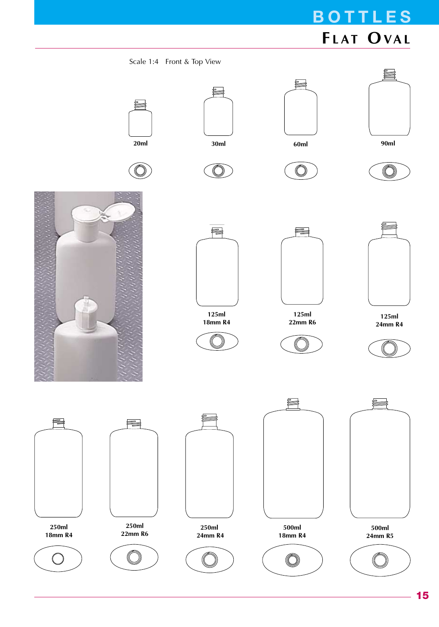# **BOTTLES F LAT OVAL**

Scale 1:4 Front & Top View





<u>ea</u>





 $\circledcirc$ 



트

 $\bigcirc$ 

**125ml 22mm R6**





**125ml 24mm R4**



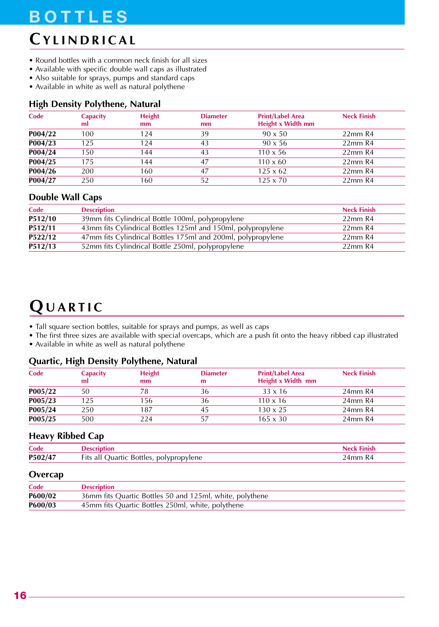## **CYLINDRICAL**

- Round bottles with a common neck finish for all sizes
- Available with specific double wall caps as illustrated
- Also suitable for sprays, pumps and standard caps
- Available in white as well as natural polythene

#### **High Density Polythene, Natural**

| Code    | <b>Capacity</b><br>ml | <b>Height</b><br>mm | <b>Diameter</b><br>mm | <b>Print/Label Area</b><br>Height x Width mm | <b>Neck Finish</b> |
|---------|-----------------------|---------------------|-----------------------|----------------------------------------------|--------------------|
| P004/22 | 100                   | 124                 | 39                    | $90 \times 50$                               | $22$ mm $R4$       |
| P004/23 | 125                   | 124                 | 43                    | $90 \times 56$                               | $22$ mm $R4$       |
| P004/24 | 150                   | 144                 | 43                    | $110 \times 56$                              | $22$ mm $R4$       |
| P004/25 | 175                   | 144                 | 47                    | $110 \times 60$                              | 22mm R4            |
| P004/26 | 200                   | 160                 | 47                    | $125 \times 62$                              | $22$ mm $R4$       |
| P004/27 | 250                   | 160                 | 52                    | $125 \times 70$                              | 22mm R4            |

#### **Double Wall Caps**

| Code    | <b>Description</b>                                           | <b>Neck Finish</b> |
|---------|--------------------------------------------------------------|--------------------|
| P512/10 | 39mm fits Cylindrical Bottle 100ml, polypropylene            | $22$ mm $R4$       |
| P512/11 | 43mm fits Cylindrical Bottles 125ml and 150ml, polypropylene | $22$ mm $R4$       |
| P522/12 | 47mm fits Cylindrical Bottles 175ml and 200ml, polypropylene | 22mm R4            |
| P512/13 | 52mm fits Cylindrical Bottle 250ml, polypropylene            | 22mm R4            |

# **QUARTIC**

- Tall square section bottles, suitable for sprays and pumps, as well as caps
- The first three sizes are available with special overcaps, which are a push fit onto the heavy ribbed cap illustrated
- Available in white as well as natural polythene

#### **Quartic, High Density Polythene, Natural**

| <b>Neck Finish</b> |
|--------------------|
| 24mm R4            |
| 24mm R4            |
| 24mm R4            |
| 24mm R4            |
|                    |

#### **Heavy Ribbed Cap**

| Code       |                                                     |           |
|------------|-----------------------------------------------------|-----------|
| P502<br>14 | <b>Bottles</b><br>opvlene<br>⊢its a.<br>all<br>poly | mm-<br>K4 |

#### **Overcap**

| Code    | <b>Description</b>                                       |
|---------|----------------------------------------------------------|
| P600/02 | 36mm fits Quartic Bottles 50 and 125ml, white, polythene |
| P600/03 | 45mm fits Quartic Bottles 250ml, white, polythene        |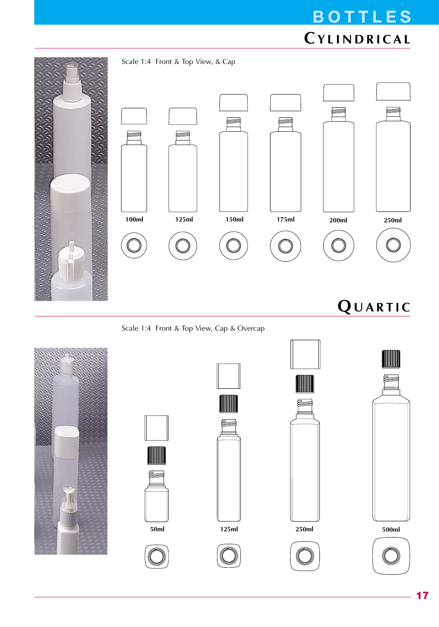# **BOTTLES CYLINDRICAL**















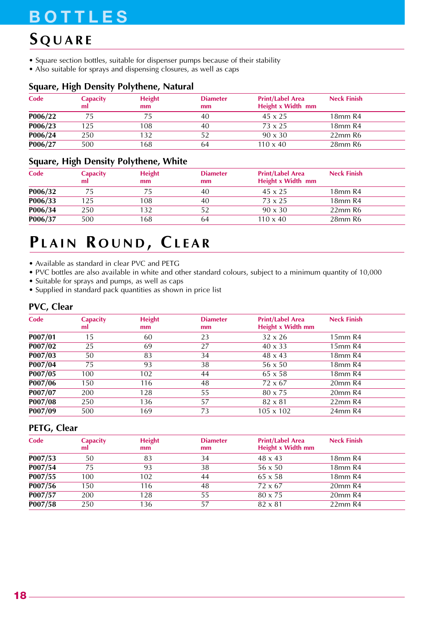## **S QUARE**

- Square section bottles, suitable for dispenser pumps because of their stability
- Also suitable for sprays and dispensing closures, as well as caps

### **Square, High Density Polythene, Natural**

| <b>Capacity</b><br>ml | <b>Height</b><br>mm | <b>Diameter</b><br>mm | <b>Print/Label Area</b><br>Height x Width mm | <b>Neck Finish</b>  |  |
|-----------------------|---------------------|-----------------------|----------------------------------------------|---------------------|--|
|                       |                     | 40                    | $45 \times 25$                               | 18mm R4             |  |
| 125                   | 108                 | 40                    | $73 \times 25$                               | 18 <sub>mm</sub> R4 |  |
| 250                   | 132                 |                       | $90 \times 30$                               | $22$ mm $R6$        |  |
| 500                   | 168                 | 64                    | $110 \times 40$                              | 28mm R6             |  |
|                       |                     |                       |                                              |                     |  |

### **Square, High Density Polythene, White**

| Code    | <b>Capacity</b><br>ml | <b>Height</b><br>mm | <b>Diameter</b><br>mm | <b>Print/Label Area</b><br>Height x Width mm | <b>Neck Finish</b> |
|---------|-----------------------|---------------------|-----------------------|----------------------------------------------|--------------------|
| P006/32 |                       |                     | 40                    | $45 \times 25$                               | 18mm R4            |
| P006/33 | 125                   | 08                  | 40                    | $73 \times 25$                               | 18mm R4            |
| P006/34 | 250                   | 32                  |                       | $90 \times 30$                               | $22$ mm $R6$       |
| P006/37 | 500                   | 68                  | 64                    | $110 \times 40$                              | 28mm R6            |

## **PLAIN R OUND , CLEAR**

• Available as standard in clear PVC and PETG

- PVC bottles are also available in white and other standard colours, subject to a minimum quantity of 10,000
- Suitable for sprays and pumps, as well as caps
- Supplied in standard pack quantities as shown in price list

#### **PVC, Clear**

| Code    | <b>Capacity</b><br>ml | <b>Height</b><br>mm | <b>Diameter</b><br>mm | <b>Print/Label Area</b><br>Height x Width mm | <b>Neck Finish</b> |
|---------|-----------------------|---------------------|-----------------------|----------------------------------------------|--------------------|
| P007/01 | 15                    | 60                  | 23                    | $32 \times 26$                               | 15mm R4            |
| P007/02 | 25                    | 69                  | 27                    | $40 \times 33$                               | 15mm R4            |
| P007/03 | 50                    | 83                  | 34                    | $48 \times 43$                               | 18mm R4            |
| P007/04 | 75                    | 93                  | 38                    | $56 \times 50$                               | 18mm R4            |
| P007/05 | 100                   | 102                 | 44                    | $65 \times 58$                               | 18mm R4            |
| P007/06 | 150                   | 116                 | 48                    | $72 \times 67$                               | 20mm R4            |
| P007/07 | 200                   | 128                 | 55                    | 80 x 75                                      | 20mm R4            |
| P007/08 | 250                   | 136                 | 57                    | $82 \times 81$                               | $22$ mm $R4$       |
| P007/09 | 500                   | 169                 | 73                    | $105 \times 102$                             | 24mm R4            |

#### **PETG, Clear**

| Code    | <b>Capacity</b><br>ml | <b>Height</b><br>mm | <b>Diameter</b><br>mm | <b>Print/Label Area</b><br>Height x Width mm | <b>Neck Finish</b>              |  |
|---------|-----------------------|---------------------|-----------------------|----------------------------------------------|---------------------------------|--|
| P007/53 | 50                    | 83                  | 34                    | $48 \times 43$                               | 18 <sub>mm</sub> R <sub>4</sub> |  |
| P007/54 | 75                    | 93                  | 38                    | $56 \times 50$                               | 18 <sub>mm</sub> R <sub>4</sub> |  |
| P007/55 | 100                   | 102                 | 44                    | $65 \times 58$                               | 18 <sub>mm</sub> R <sub>4</sub> |  |
| P007/56 | 150                   | 116                 | 48                    | $72 \times 67$                               | $20mm$ R4                       |  |
| P007/57 | 200                   | 128                 | 55                    | 80 x 75                                      | 20mm R4                         |  |
| P007/58 | 250                   | 136                 | 57                    | $82 \times 81$                               | $22$ mm R4                      |  |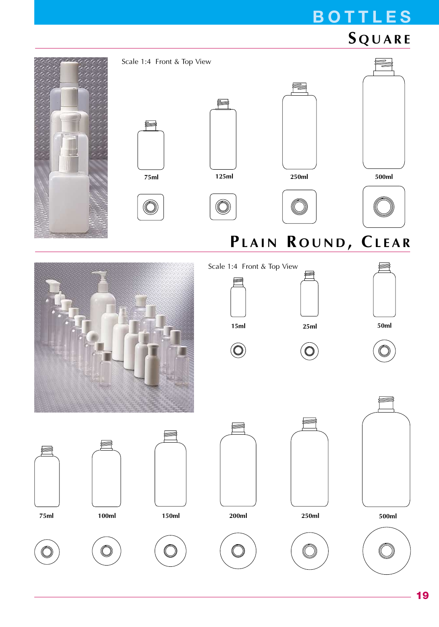# **S QUARE**

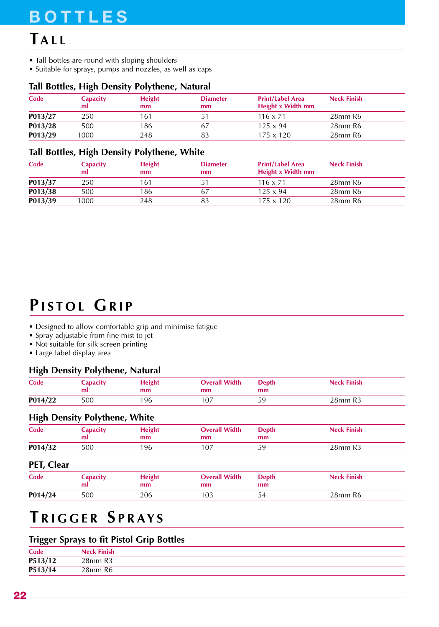## **TALL**

- Tall bottles are round with sloping shoulders
- Suitable for sprays, pumps and nozzles, as well as caps

#### **Tall Bottles, High Density Polythene, Natural**

| Code    | <b>Capacity</b><br>ml | <b>Height</b><br>mm | <b>Diameter</b><br>mm | <b>Print/Label Area</b><br>Height x Width mm | <b>Neck Finish</b> |  |
|---------|-----------------------|---------------------|-----------------------|----------------------------------------------|--------------------|--|
| P013/27 | 250                   | 161                 |                       | $116 \times 71$                              | 28mm R6            |  |
| P013/28 | 500                   | 186                 |                       | $125 \times 94$                              | 28mm R6            |  |
| P013/29 | 1000                  | 248                 |                       | $175 \times 120$                             | 28mm R6            |  |

#### **Tall Bottles, High Density Polythene, White**

| Code    | <b>Capacity</b><br>ml | <b>Height</b><br>mm | <b>Diameter</b><br>mm | <b>Print/Label Area</b><br>Height x Width mm | <b>Neck Finish</b> |  |
|---------|-----------------------|---------------------|-----------------------|----------------------------------------------|--------------------|--|
| P013/37 | 250                   | 161                 |                       | $116 \times 71$                              | 28mm R6            |  |
| P013/38 | 500                   | 186                 | 67                    | $125 \times 94$                              | 28mm R6            |  |
| P013/39 | 1000                  | 248                 |                       | $175 \times 120$                             | 28mm R6            |  |

## **PISTOL GRIP**

- Designed to allow comfortable grip and minimise fatigue
- Spray adjustable from fine mist to jet
- Not suitable for silk screen printing
- Large label display area

#### **High Density Polythene, Natural**

| Code    | Capacity<br>ml | Height<br>mm | <b>Overall Width</b><br>mm | <b>Depth</b><br>mm | <b>Neck Finish</b> |
|---------|----------------|--------------|----------------------------|--------------------|--------------------|
| P014/22 | 500            | '96'         |                            | 59                 | 28mm R3            |

### **High Density Polythene, White**

| Code    | Capacity<br>ml | <b>Height</b><br>mm | <b>Overall Width</b><br>mm | Depth<br>mm | <b>Neck Finish</b> |
|---------|----------------|---------------------|----------------------------|-------------|--------------------|
| P014/32 | 500            | ' 96                |                            | 59          | 28mm R3            |

#### **PET, Clear**

| Code    | Capacity<br>ml | <b>Height</b><br>mm | <b>Overall Width</b><br>mm | <b>Depth</b><br>mm | <b>Neck Finish</b> |
|---------|----------------|---------------------|----------------------------|--------------------|--------------------|
| P014/24 | 500            | 206                 | '03                        | 54                 | 28mm R6            |

## **T RIGGER S PRAYS**

### **Trigger Sprays to fit Pistol Grip Bottles**

| Code    | <b>Neck Finish</b> |
|---------|--------------------|
| P513/12 | 28mm R3            |
| P513/14 | 28mm R6            |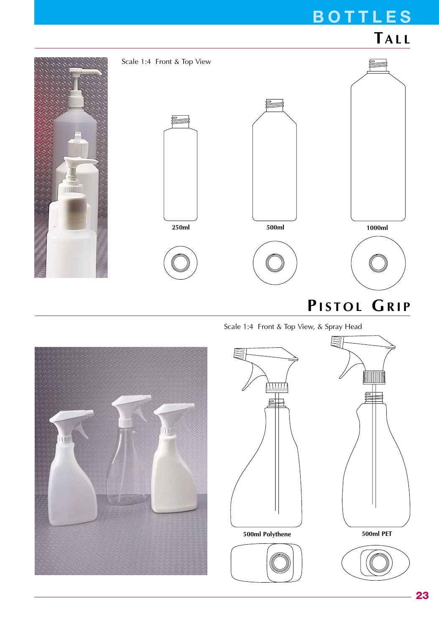



Scale 1:4 Front & Top View, & Spray Head

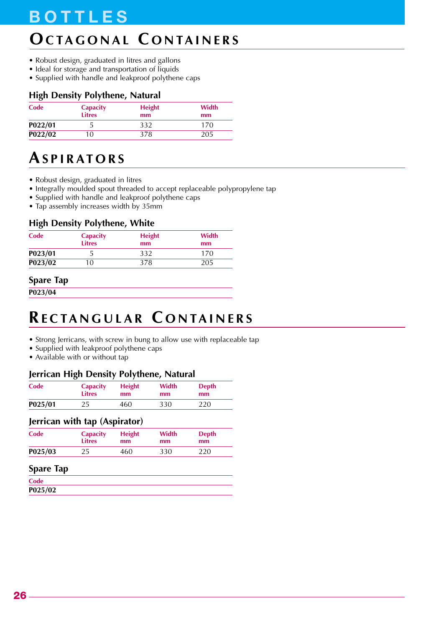# **OCTAGONAL C ONTAINERS**

- Robust design, graduated in litres and gallons
- Ideal for storage and transportation of liquids
- Supplied with handle and leakproof polythene caps

## **High Density Polythene, Natural**

| Code    | <b>Capacity</b><br><b>Litres</b> | <b>Height</b><br>mm | Width<br>mm |
|---------|----------------------------------|---------------------|-------------|
| P022/01 |                                  | 332                 | 170         |
| P022/02 | 10                               | 378                 | 205         |

## **ASPIRATORS**

- Robust design, graduated in litres
- Integrally moulded spout threaded to accept replaceable polypropylene tap
- Supplied with handle and leakproof polythene caps
- Tap assembly increases width by 35mm

### **High Density Polythene, White**

| Code    | <b>Capacity</b><br><b>Litres</b> | <b>Height</b><br>mm | Width<br>mm |
|---------|----------------------------------|---------------------|-------------|
| P023/01 |                                  | 332                 | 170         |
| P023/02 | 10                               | 378                 | 205         |

### **Spare Tap**

**P023/04**

## **RECTANGULAR C ONTAINERS**

- Strong Jerricans, with screw in bung to allow use with replaceable tap
- Supplied with leakproof polythene caps
- Available with or without tap

### **Jerrican High Density Polythene, Natural**

| Code    | <b>Capacity</b><br><b>Litres</b> | <b>Height</b><br>mm | Width<br><sub>mm</sub> | <b>Depth</b><br>mm |  |
|---------|----------------------------------|---------------------|------------------------|--------------------|--|
| P025/01 | 25                               | 460                 | 330                    | 220                |  |

#### **Jerrican with tap (Aspirator)**

| Code    | <b>Capacity</b> | <b>Height</b> | Width         | <b>Depth</b> |
|---------|-----------------|---------------|---------------|--------------|
|         | <b>Litres</b>   | mm            | <sub>mm</sub> | mm           |
| P025/03 | 25              | 460           | 330           | 220          |

#### **Spare Tap**

| Code    |  |  |  |
|---------|--|--|--|
| P025/02 |  |  |  |
|         |  |  |  |